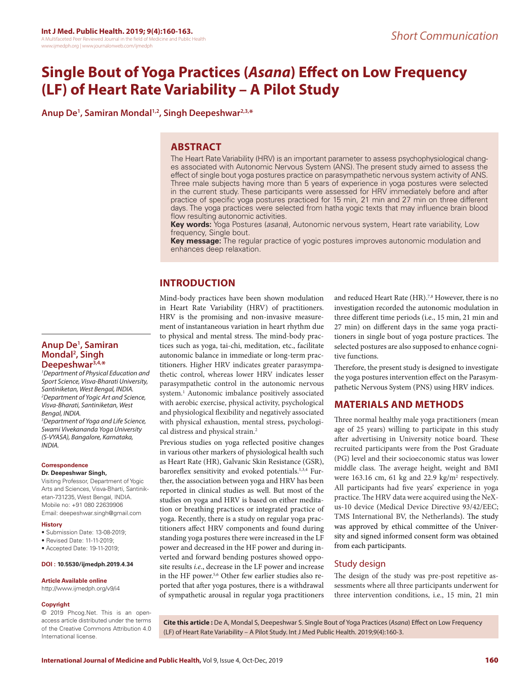# **Single Bout of Yoga Practices (***Asana***) Effect on Low Frequency (LF) of Heart Rate Variability – A Pilot Study**

**Anup De1 , Samiran Mondal1,2, Singh Deepeshwar2,3,\***

## **ABSTRACT**

The Heart Rate Variability (HRV) is an important parameter to assess psychophysiological changes associated with Autonomic Nervous System (ANS). The present study aimed to assess the effect of single bout yoga postures practice on parasympathetic nervous system activity of ANS. Three male subjects having more than 5 years of experience in yoga postures were selected in the current study. These participants were assessed for HRV immediately before and after practice of specific yoga postures practiced for 15 min, 21 min and 27 min on three different days. The yoga practices were selected from hatha yogic texts that may influence brain blood flow resulting autonomic activities.

**Key words:** Yoga Postures (*asana*), Autonomic nervous system, Heart rate variability, Low frequency, Single bout.

**Key message:** The regular practice of yogic postures improves autonomic modulation and enhances deep relaxation.

# **INTRODUCTION**

Mind-body practices have been shown modulation in Heart Rate Variability (HRV) of practitioners. HRV is the promising and non-invasive measurement of instantaneous variation in heart rhythm due to physical and mental stress. The mind-body practices such as yoga, tai-chi, meditation, etc., facilitate autonomic balance in immediate or long-term practitioners. Higher HRV indicates greater parasympathetic control, whereas lower HRV indicates lesser parasympathetic control in the autonomic nervous system.1 Autonomic imbalance positively associated with aerobic exercise, physical activity, psychological and physiological flexibility and negatively associated with physical exhaustion, mental stress, psychological distress and physical strain.<sup>2</sup>

Previous studies on yoga reflected positive changes in various other markers of physiological health such as Heart Rate (HR), Galvanic Skin Resistance (GSR), baroreflex sensitivity and evoked potentials.<sup>1,3,4</sup> Further, the association between yoga and HRV has been reported in clinical studies as well. But most of the studies on yoga and HRV is based on either meditation or breathing practices or integrated practice of yoga. Recently, there is a study on regular yoga practitioners affect HRV components and found during standing yoga postures there were increased in the LF power and decreased in the HF power and during inverted and forward bending postures showed opposite results *i.e*., decrease in the LF power and increase in the HF power.<sup>5,6</sup> Other few earlier studies also reported that after yoga postures, there is a withdrawal of sympathetic arousal in regular yoga practitioners and reduced Heart Rate (HR).<sup>7,8</sup> However, there is no investigation recorded the autonomic modulation in three different time periods (i.e., 15 min, 21 min and 27 min) on different days in the same yoga practitioners in single bout of yoga posture practices. The selected postures are also supposed to enhance cognitive functions.

Therefore, the present study is designed to investigate the yoga postures intervention effect on the Parasympathetic Nervous System (PNS) using HRV indices.

# **MATERIALS AND METHODS**

Three normal healthy male yoga practitioners (mean age of 25 years) willing to participate in this study after advertising in University notice board. These recruited participants were from the Post Graduate (PG) level and their socioeconomic status was lower middle class. The average height, weight and BMI were  $163.16$  cm,  $61$  kg and  $22.9$  kg/m<sup>2</sup> respectively. All participants had five years' experience in yoga practice. The HRV data were acquired using the NeXus-10 device (Medical Device Directive 93/42/EEC; TMS International BV, the Netherlands). The study was approved by ethical committee of the University and signed informed consent form was obtained from each participants.

# Study design

The design of the study was pre-post repetitive assessments where all three participants underwent for three intervention conditions, i.e., 15 min, 21 min

## **Anup De1 , Samiran Mondal2 , Singh Deepeshwar3,4,\***

*1 Department of Physical Education and Sport Science, Visva-Bharati University, Santiniketan, West Bengal, INDIA. 2 Department of Yogic Art and Science, Visva-Bharati, Santiniketan, West Bengal, INDIA.*

*3 Department of Yoga and Life Science, Swami Vivekananda Yoga University (S-VYASA), Bangalore, Karnataka, INDIA.*

#### **Correspondence**

#### **Dr. Deepeshwar Singh,**

Visiting Professor, Department of Yogic Arts and Sciences, Visva-Bharti, Santiniketan-731235, West Bengal, INDIA. Mobile no: +91 080 22639906 Email: deepeshwar.singh@gmail.com

#### **History**

- Submission Date: 13-08-2019;
- Revised Date: 11-11-2019;
- Accepted Date: 19-11-2019;

#### **DOI : 10.5530/ijmedph.2019.4.34**

#### **Article Available online**

http://www.ijmedph.org/v9/i4

#### **Copyright**

© 2019 Phcog.Net. This is an openaccess article distributed under the terms of the Creative Commons Attribution 4.0 International license.

**Cite this article :** De A, Mondal S, Deepeshwar S. Single Bout of Yoga Practices (*Asana*) Effect on Low Frequency (LF) of Heart Rate Variability – A Pilot Study. Int J Med Public Health. 2019;9(4):160-3.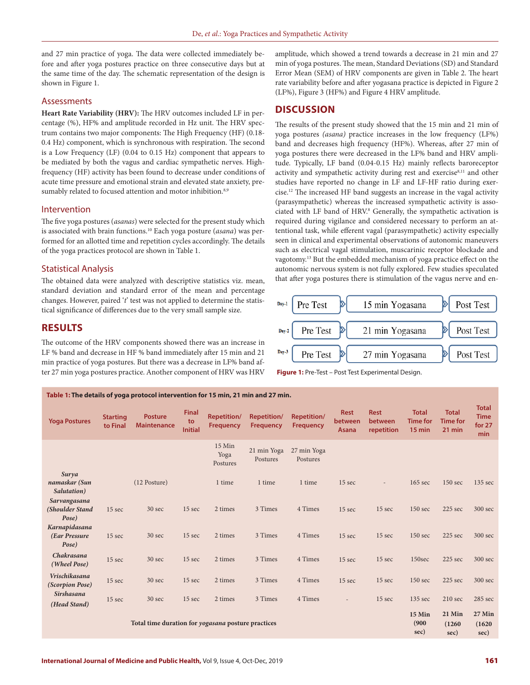and 27 min practice of yoga. The data were collected immediately before and after yoga postures practice on three consecutive days but at the same time of the day. The schematic representation of the design is shown in Figure 1.

#### Assessments

**Heart Rate Variability (HRV):** The HRV outcomes included LF in percentage (%), HF% and amplitude recorded in Hz unit. The HRV spectrum contains two major components: The High Frequency (HF) (0.18- 0.4 Hz) component, which is synchronous with respiration. The second is a Low Frequency (LF) (0.04 to 0.15 Hz) component that appears to be mediated by both the vagus and cardiac sympathetic nerves. Highfrequency (HF) activity has been found to decrease under conditions of acute time pressure and emotional strain and elevated state anxiety, presumably related to focused attention and motor inhibition.<sup>8,9</sup>

#### Intervention

The five yoga postures (*asanas*) were selected for the present study which is associated with brain functions.10 Each yoga posture (*asana*) was performed for an allotted time and repetition cycles accordingly. The details of the yoga practices protocol are shown in Table 1.

#### Statistical Analysis

The obtained data were analyzed with descriptive statistics viz. mean, standard deviation and standard error of the mean and percentage changes. However, paired '*t*' test was not applied to determine the statistical significance of differences due to the very small sample size.

## **RESULTS**

The outcome of the HRV components showed there was an increase in LF % band and decrease in HF % band immediately after 15 min and 21 min practice of yoga postures. But there was a decrease in LF% band after 27 min yoga postures practice. Another component of HRV was HRV

**Table 1: The details of yoga protocol intervention for 15 min, 21 min and 27 min.**

amplitude, which showed a trend towards a decrease in 21 min and 27 min of yoga postures. The mean, Standard Deviations (SD) and Standard Error Mean (SEM) of HRV components are given in Table 2. The heart rate variability before and after yogasana practice is depicted in Figure 2 (LF%), Figure 3 (HF%) and Figure 4 HRV amplitude.

### **DISCUSSION**

The results of the present study showed that the 15 min and 21 min of yoga postures *(asana)* practice increases in the low frequency (LF%) band and decreases high frequency (HF%). Whereas, after 27 min of yoga postures there were decreased in the LF% band and HRV amplitude. Typically, LF band (0.04-0.15 Hz) mainly reflects baroreceptor activity and sympathetic activity during rest and exercise<sup>8,11</sup> and other studies have reported no change in LF and LF-HF ratio during exercise.12 The increased HF band suggests an increase in the vagal activity (parasympathetic) whereas the increased sympathetic activity is associated with LF band of HRV.<sup>8</sup> Generally, the sympathetic activation is required during vigilance and considered necessary to perform an attentional task, while efferent vagal (parasympathetic) activity especially seen in clinical and experimental observations of autonomic maneuvers such as electrical vagal stimulation, muscarinic receptor blockade and vagotomy.13 But the embedded mechanism of yoga practice effect on the autonomic nervous system is not fully explored. Few studies speculated that after yoga postures there is stimulation of the vagus nerve and en-





**Yoga Postures Starting to Final Posture Maintenance Final to Initial Repetition/ Frequency Repetition/ Frequency Repetition/ Frequency Rest between Asana Rest between repetition Total Time for 15 min Total Time for 21 min Total Time for 27 min** 15 Min Yoga Postures 21 min Yoga Postures 27 min Yoga Postures *Surya namaskar (Sun Salutation)* (12 Posture) 1 time 1 time 1 time 15 sec - 165 sec 150 sec 135 sec *Sarvangasana (Shoulder Stand Pose)* 15 sec 30 sec 15 sec 2 times 3 Times 4 Times 15 sec 15 sec 150 sec 225 sec 300 sec *Karnapidasana (Ear Pressure Pose)*  15 sec 30 sec 15 sec 2 times 3 Times 4 Times 15 sec 15 sec 150 sec 225 sec 300 sec *Chakrasana (Wheel Pose)* 15 sec 30 sec 15 sec 2 times 3 Times 4 Times 15 sec 15 sec 150sec 225 sec 300 sec *Vrischikasana (Scorpion Pose)* 15 sec 30 sec 15 sec 2 times 3 Times 4 Times 15 sec 15 sec 150 sec 225 sec 300 sec *Sirshasana (Head Stand)* 15 sec 30 sec 15 sec 2 times 3 Times 4 Times - 15 sec 135 sec 210 sec 285 sec **Total time duration for** *yogasana* **posture practices 15 Min (900 sec) 21 Min (1260 sec) 27 Min (1620 sec)**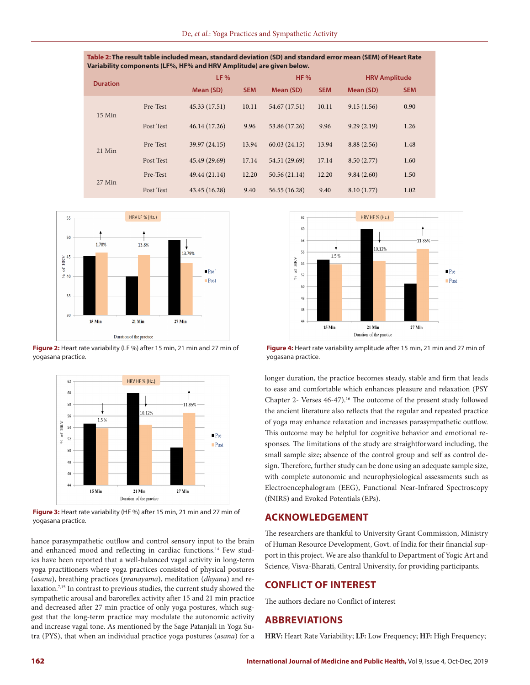| Table 2: The result table included mean, standard deviation (SD) and standard error mean (SEM) of Heart Rate |
|--------------------------------------------------------------------------------------------------------------|
| Variability components (LF%, HF% and HRV Amplitude) are given below.                                         |

|                 |           | $LF$ %        |            | <b>HF %</b>   |            | <b>HRV Amplitude</b> |            |
|-----------------|-----------|---------------|------------|---------------|------------|----------------------|------------|
| <b>Duration</b> |           | Mean (SD)     | <b>SEM</b> | Mean (SD)     | <b>SEM</b> | Mean (SD)            | <b>SEM</b> |
| $15$ Min        | Pre-Test  | 45.33 (17.51) | 10.11      | 54.67 (17.51) | 10.11      | 9.15(1.56)           | 0.90       |
|                 | Post Test | 46.14 (17.26) | 9.96       | 53.86 (17.26) | 9.96       | 9.29(2.19)           | 1.26       |
| $21$ Min        | Pre-Test  | 39.97 (24.15) | 13.94      | 60.03(24.15)  | 13.94      | 8.88(2.56)           | 1.48       |
|                 | Post Test | 45.49 (29.69) | 17.14      | 54.51 (29.69) | 17.14      | 8.50(2.77)           | 1.60       |
| 27 Min          | Pre-Test  | 49.44 (21.14) | 12.20      | 50.56(21.14)  | 12.20      | 9.84(2.60)           | 1.50       |
|                 | Post Test | 43.45 (16.28) | 9.40       | 56.55 (16.28) | 9.40       | 8.10(1.77)           | 1.02       |



**Figure 2:** Heart rate variability (LF %) after 15 min, 21 min and 27 min of yogasana practice.



**Figure 3:** Heart rate variability (HF %) after 15 min, 21 min and 27 min of yogasana practice.

hance parasympathetic outflow and control sensory input to the brain and enhanced mood and reflecting in cardiac functions.<sup>14</sup> Few studies have been reported that a well-balanced vagal activity in long-term yoga practitioners where yoga practices consisted of physical postures (*asana*), breathing practices (*pranayama*), meditation (*dhyana*) and relaxation.7,15 In contrast to previous studies, the current study showed the sympathetic arousal and baroreflex activity after 15 and 21 min practice and decreased after 27 min practice of only yoga postures, which suggest that the long-term practice may modulate the autonomic activity and increase vagal tone. As mentioned by the Sage Patanjali in Yoga Sutra (PYS), that when an individual practice yoga postures (*asana*) for a



**Figure 4:** Heart rate variability amplitude after 15 min, 21 min and 27 min of yogasana practice.

longer duration, the practice becomes steady, stable and firm that leads to ease and comfortable which enhances pleasure and relaxation (PSY Chapter 2- Verses 46-47).<sup>16</sup> The outcome of the present study followed the ancient literature also reflects that the regular and repeated practice of yoga may enhance relaxation and increases parasympathetic outflow. This outcome may be helpful for cognitive behavior and emotional responses. The limitations of the study are straightforward including, the small sample size; absence of the control group and self as control design. Therefore, further study can be done using an adequate sample size, with complete autonomic and neurophysiological assessments such as Electroencephalogram (EEG), Functional Near-Infrared Spectroscopy (fNIRS) and Evoked Potentials (EPs).

## **ACKNOWLEDGEMENT**

The researchers are thankful to University Grant Commission, Ministry of Human Resource Development, Govt. of India for their financial support in this project. We are also thankful to Department of Yogic Art and Science, Visva-Bharati, Central University, for providing participants.

# **CONFLICT OF INTEREST**

The authors declare no Conflict of interest

## **ABBREVIATIONS**

**HRV:** Heart Rate Variability; **LF:** Low Frequency; **HF:** High Frequency;